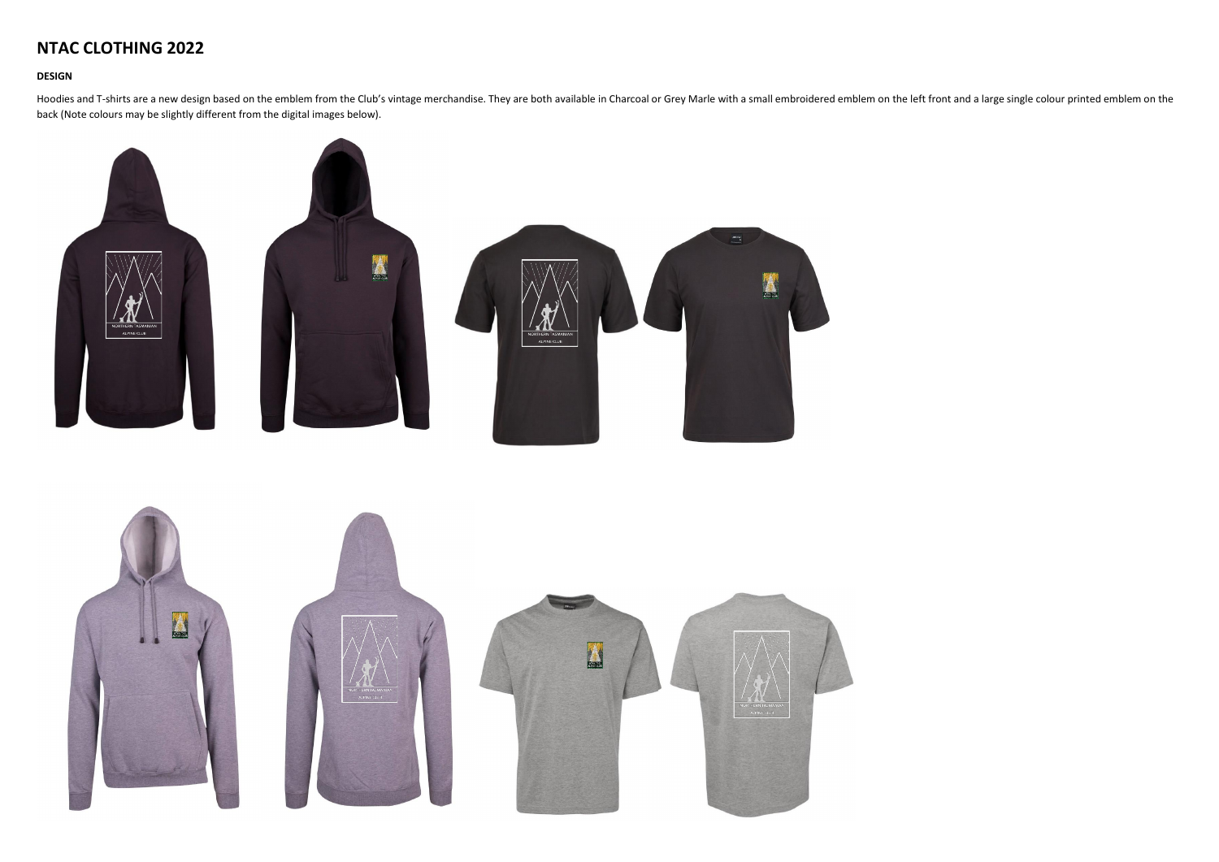## **NTAC CLOTHING 2022**

## **DESIGN**

Hoodies and T-shirts are a new design based on the emblem from the Club's vintage merchandise. They are both available in Charcoal or Grey Marle with a small embroidered emblem on the left front and a large single colour p back (Note colours may be slightly different from the digital images below).